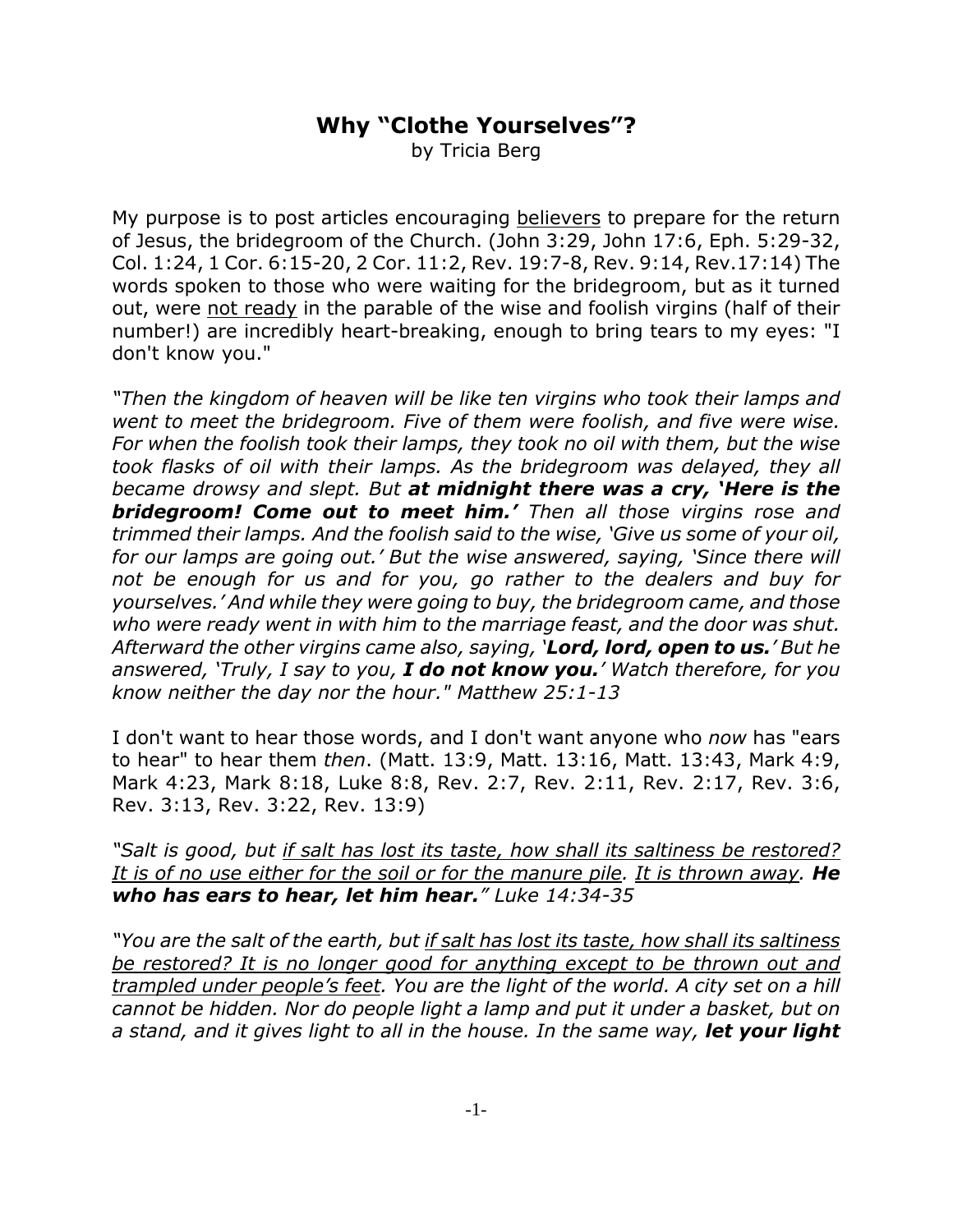## **Why "Clothe Yourselves"?**

by Tricia Berg

My purpose is to post articles encouraging believers to prepare for the return of Jesus, the bridegroom of the Church. (John 3:29, John 17:6, Eph. 5:29-32, Col. 1:24, 1 Cor. 6:15-20, 2 Cor. 11:2, Rev. 19:7-8, Rev. 9:14, Rev.17:14) The words spoken to those who were waiting for the bridegroom, but as it turned out, were not ready in the parable of the wise and foolish virgins (half of their number!) are incredibly heart-breaking, enough to bring tears to my eyes: "I don't know you."

*"Then the kingdom of heaven will be like ten virgins who took their lamps and went to meet the bridegroom. Five of them were foolish, and five were wise. For when the foolish took their lamps, they took no oil with them, but the wise took flasks of oil with their lamps. As the bridegroom was delayed, they all became drowsy and slept. But at midnight there was a cry, 'Here is the bridegroom! Come out to meet him.' Then all those virgins rose and trimmed their lamps. And the foolish said to the wise, 'Give us some of your oil, for our lamps are going out.' But the wise answered, saying, 'Since there will not be enough for us and for you, go rather to the dealers and buy for yourselves.' And while they were going to buy, the bridegroom came, and those who were ready went in with him to the marriage feast, and the door was shut. Afterward the other virgins came also, saying, 'Lord, lord, open to us.' But he answered, 'Truly, I say to you, I do not know you.' Watch therefore, for you know neither the day nor the hour." Matthew 25:1-13*

I don't want to hear those words, and I don't want anyone who *now* has "ears to hear" to hear them *then*. (Matt. 13:9, Matt. 13:16, Matt. 13:43, Mark 4:9, Mark 4:23, Mark 8:18, Luke 8:8, Rev. 2:7, Rev. 2:11, Rev. 2:17, Rev. 3:6, Rev. 3:13, Rev. 3:22, Rev. 13:9)

*"Salt is good, but if salt has lost its taste, how shall its saltiness be restored?* It is of no use either for the soil or for the manure pile. It is thrown away. **He** *who has ears to hear, let him hear." Luke 14:34-35*

*"You are the salt of the earth, but if salt has lost its taste, how shall its saltiness be restored? It is no longer good for anything except to be thrown out and trampled under people's feet. You are the light of the world. A city set on a hill cannot be hidden. Nor do people light a lamp and put it under a basket, but on a stand, and it gives light to all in the house. In the same way, let your light*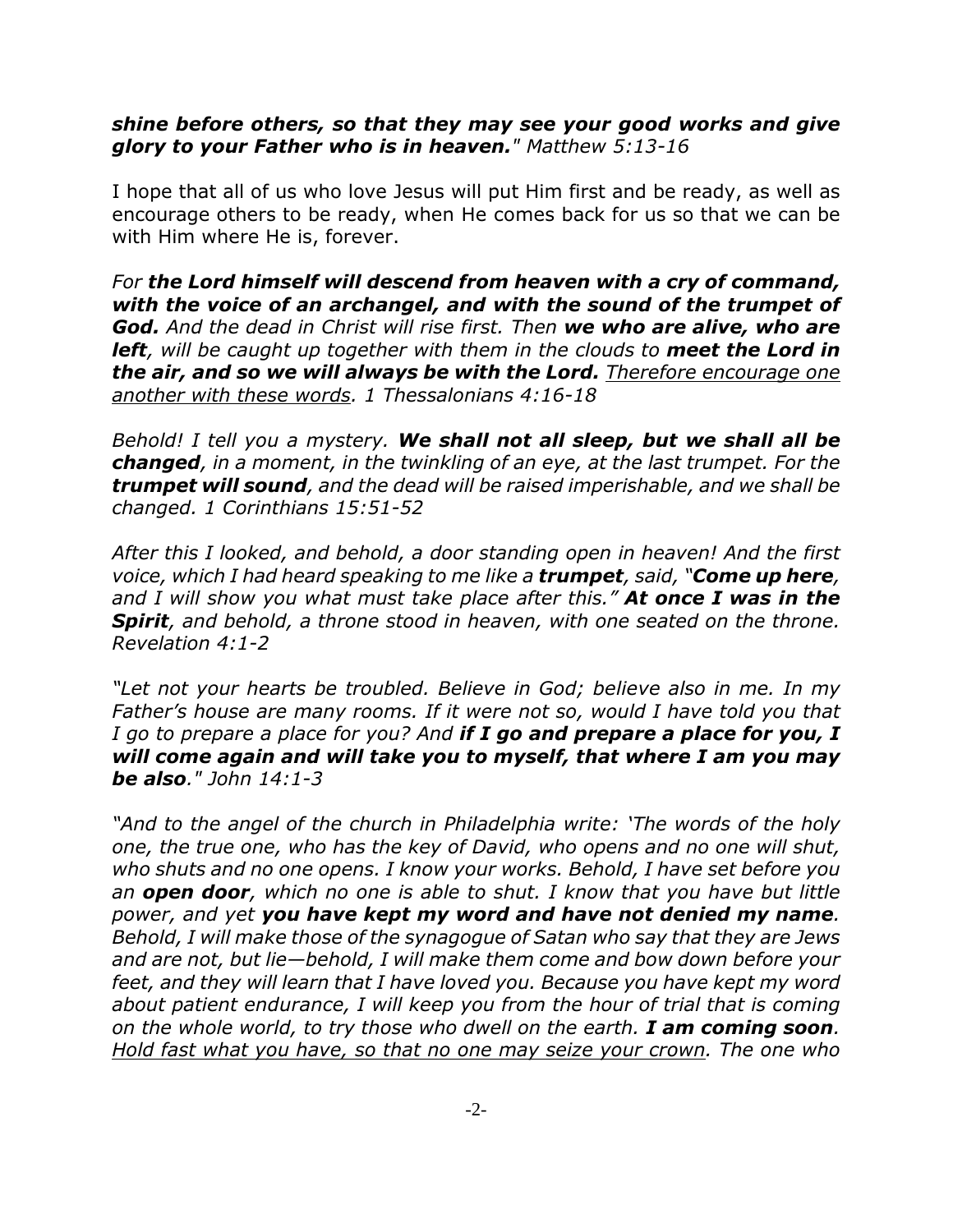## *shine before others, so that they may see your good works and give glory to your Father who is in heaven." Matthew 5:13-16*

I hope that all of us who love Jesus will put Him first and be ready, as well as encourage others to be ready, when He comes back for us so that we can be with Him where He is, forever.

*For the Lord himself will descend from heaven with a cry of command, with the voice of an archangel, and with the sound of the trumpet of God. And the dead in Christ will rise first. Then we who are alive, who are left, will be caught up together with them in the clouds to meet the Lord in the air, and so we will always be with the Lord. Therefore encourage one another with these words. 1 Thessalonians 4:16-18*

*Behold! I tell you a mystery. We shall not all sleep, but we shall all be changed, in a moment, in the twinkling of an eye, at the last trumpet. For the trumpet will sound, and the dead will be raised imperishable, and we shall be changed. 1 Corinthians 15:51-52*

*After this I looked, and behold, a door standing open in heaven! And the first voice, which I had heard speaking to me like a trumpet, said, "Come up here, and I will show you what must take place after this." At once I was in the Spirit, and behold, a throne stood in heaven, with one seated on the throne. Revelation 4:1-2* 

*"Let not your hearts be troubled. Believe in God; believe also in me. In my Father's house are many rooms. If it were not so, would I have told you that I go to prepare a place for you? And if I go and prepare a place for you, I will come again and will take you to myself, that where I am you may be also." John 14:1-3* 

*"And to the angel of the church in Philadelphia write: 'The words of the holy one, the true one, who has the key of David, who opens and no one will shut, who shuts and no one opens. I know your works. Behold, I have set before you an open door, which no one is able to shut. I know that you have but little power, and yet you have kept my word and have not denied my name. Behold, I will make those of the synagogue of Satan who say that they are Jews and are not, but lie—behold, I will make them come and bow down before your feet, and they will learn that I have loved you. Because you have kept my word about patient endurance, I will keep you from the hour of trial that is coming on the whole world, to try those who dwell on the earth. I am coming soon. Hold fast what you have, so that no one may seize your crown. The one who*